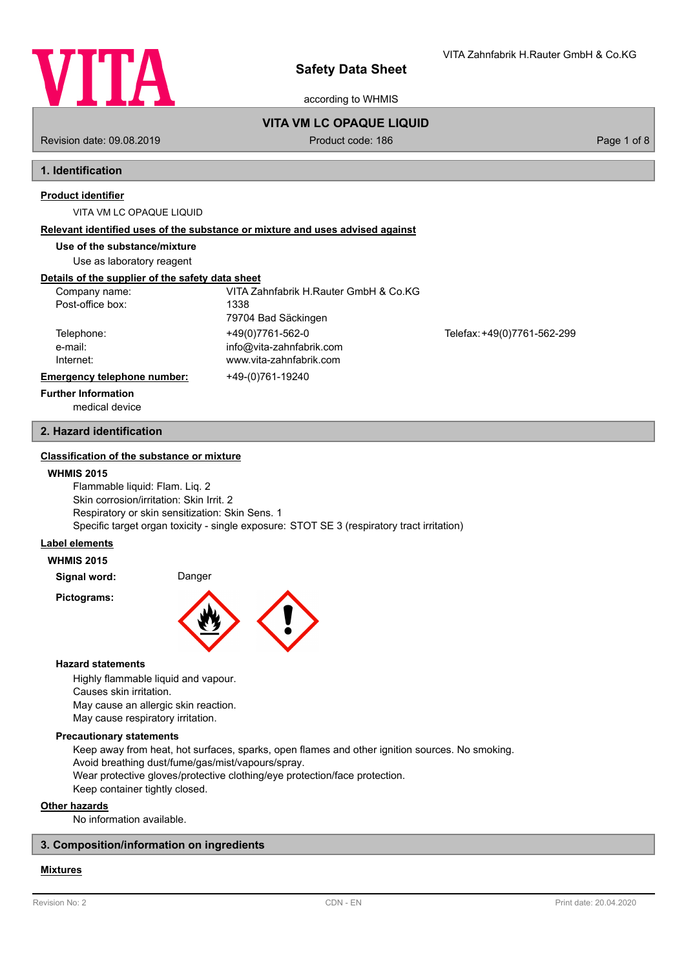

according to WHMIS

VITA Zahnfabrik H.Rauter GmbH & Co.KG

Revision date: 09.08.2019 The state of 8 Product code: 186 Page 1 of 8 Page 1 of 8

**VITA VM LC OPAQUE LIQUID**

# **1. Identification**

# **Product identifier**

### VITA VM LC OPAQUE LIQUID

### **Relevant identified uses of the substance or mixture and uses advised against**

# **Use of the substance/mixture**

Use as laboratory reagent

# **Details of the supplier of the safety data sheet**

| Company name:               | VITA Zahnfabrik H.Rauter GmbH & Co.KG |                             |
|-----------------------------|---------------------------------------|-----------------------------|
| Post-office box:            | 1338                                  |                             |
|                             | 79704 Bad Säckingen                   |                             |
| Telephone:                  | +49(0)7761-562-0                      | Telefax: +49(0)7761-562-299 |
| e-mail:                     | info@vita-zahnfabrik.com              |                             |
| Internet:                   | www.vita-zahnfabrik.com               |                             |
| Emergency telephone number: | +49-(0)761-19240                      |                             |
| <b>Further Information</b>  |                                       |                             |

medical device

# **2. Hazard identification**

# **Classification of the substance or mixture**

### **WHMIS 2015**

Flammable liquid: Flam. Liq. 2 Skin corrosion/irritation: Skin Irrit. 2 Respiratory or skin sensitization: Skin Sens. 1 Specific target organ toxicity - single exposure: STOT SE 3 (respiratory tract irritation)

## **Label elements**

**WHMIS 2015**

**Signal word:** Danger

**Pictograms:**



### **Hazard statements**

Highly flammable liquid and vapour. Causes skin irritation. May cause an allergic skin reaction. May cause respiratory irritation.

### **Precautionary statements**

Keep away from heat, hot surfaces, sparks, open flames and other ignition sources. No smoking. Avoid breathing dust/fume/gas/mist/vapours/spray. Wear protective gloves/protective clothing/eye protection/face protection. Keep container tightly closed.

**Other hazards**

No information available.

# **3. Composition/information on ingredients**

# **Mixtures**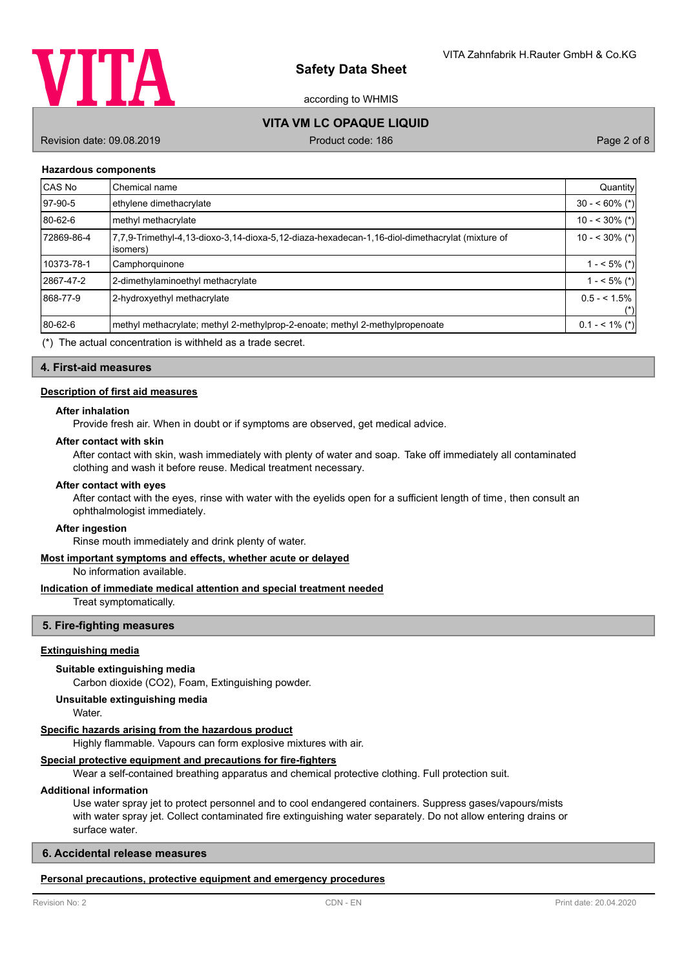

according to WHMIS

# **VITA VM LC OPAQUE LIQUID**

Revision date: 09.08.2019 **Product code: 186** Product code: 186 Page 2 of 8

### **Hazardous components**

| CAS No     | Chemical name                                                                                              | Quantity               |
|------------|------------------------------------------------------------------------------------------------------------|------------------------|
| 97-90-5    | ethylene dimethacrylate                                                                                    | $30 - 60\%$ (*)        |
| 80-62-6    | methyl methacrylate                                                                                        | $10 - 30\%$ (*)        |
| 72869-86-4 | 7,7,9-Trimethyl-4,13-dioxo-3,14-dioxa-5,12-diaza-hexadecan-1,16-diol-dimethacrylat (mixture of<br>isomers) | $10 - 30\%$ (*)        |
| 10373-78-1 | Camphorquinone                                                                                             | $1 - 5\%$ (*)          |
| 2867-47-2  | 2-dimethylaminoethyl methacrylate                                                                          | $1 - 5\%$ (*)          |
| 868-77-9   | 2-hydroxyethyl methacrylate                                                                                | $0.5 - 1.5\%$<br>$(*)$ |
| 80-62-6    | methyl methacrylate; methyl 2-methylprop-2-enoate; methyl 2-methylpropenoate                               | $0.1 - 5.1\%$ (*)      |

(\*) The actual concentration is withheld as a trade secret.

### **4. First-aid measures**

### **Description of first aid measures**

#### **After inhalation**

Provide fresh air. When in doubt or if symptoms are observed, get medical advice.

### **After contact with skin**

After contact with skin, wash immediately with plenty of water and soap. Take off immediately all contaminated clothing and wash it before reuse. Medical treatment necessary.

#### **After contact with eyes**

After contact with the eyes, rinse with water with the eyelids open for a sufficient length of time, then consult an ophthalmologist immediately.

### **After ingestion**

Rinse mouth immediately and drink plenty of water.

## **Most important symptoms and effects, whether acute or delayed**

No information available.

### **Indication of immediate medical attention and special treatment needed**

Treat symptomatically.

## **5. Fire-fighting measures**

### **Extinguishing media**

### **Suitable extinguishing media**

Carbon dioxide (CO2), Foam, Extinguishing powder.

### **Unsuitable extinguishing media**

Water.

## **Specific hazards arising from the hazardous product**

Highly flammable. Vapours can form explosive mixtures with air.

# **Special protective equipment and precautions for fire-fighters**

Wear a self-contained breathing apparatus and chemical protective clothing. Full protection suit.

## **Additional information**

Use water spray jet to protect personnel and to cool endangered containers. Suppress gases/vapours/mists with water spray jet. Collect contaminated fire extinguishing water separately. Do not allow entering drains or surface water.

# **6. Accidental release measures**

# **Personal precautions, protective equipment and emergency procedures**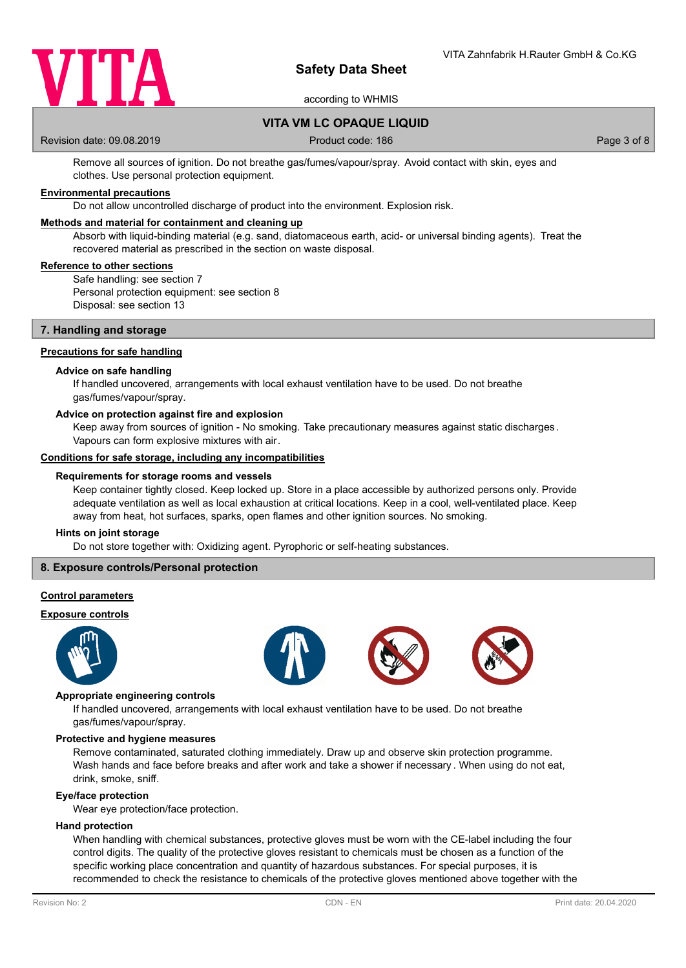

according to WHMIS

# **VITA VM LC OPAQUE LIQUID**

Revision date: 09.08.2019 **Product code: 186** Product code: 186 Page 3 of 8

Remove all sources of ignition. Do not breathe gas/fumes/vapour/spray. Avoid contact with skin, eyes and clothes. Use personal protection equipment.

# **Environmental precautions**

Do not allow uncontrolled discharge of product into the environment. Explosion risk.

### **Methods and material for containment and cleaning up**

Absorb with liquid-binding material (e.g. sand, diatomaceous earth, acid- or universal binding agents). Treat the recovered material as prescribed in the section on waste disposal.

### **Reference to other sections**

Safe handling: see section 7 Personal protection equipment: see section 8 Disposal: see section 13

### **7. Handling and storage**

### **Precautions for safe handling**

### **Advice on safe handling**

If handled uncovered, arrangements with local exhaust ventilation have to be used. Do not breathe gas/fumes/vapour/spray.

#### **Advice on protection against fire and explosion**

Keep away from sources of ignition - No smoking. Take precautionary measures against static discharges. Vapours can form explosive mixtures with air.

### **Conditions for safe storage, including any incompatibilities**

#### **Requirements for storage rooms and vessels**

Keep container tightly closed. Keep locked up. Store in a place accessible by authorized persons only. Provide adequate ventilation as well as local exhaustion at critical locations. Keep in a cool, well-ventilated place. Keep away from heat, hot surfaces, sparks, open flames and other ignition sources. No smoking.

### **Hints on joint storage**

Do not store together with: Oxidizing agent. Pyrophoric or self-heating substances.

## **8. Exposure controls/Personal protection**

### **Control parameters**

### **Exposure controls**









#### **Appropriate engineering controls**

If handled uncovered, arrangements with local exhaust ventilation have to be used. Do not breathe gas/fumes/vapour/spray.

#### **Protective and hygiene measures**

Remove contaminated, saturated clothing immediately. Draw up and observe skin protection programme. Wash hands and face before breaks and after work and take a shower if necessary . When using do not eat, drink, smoke, sniff.

#### **Eye/face protection**

Wear eye protection/face protection.

### **Hand protection**

When handling with chemical substances, protective gloves must be worn with the CE-label including the four control digits. The quality of the protective gloves resistant to chemicals must be chosen as a function of the specific working place concentration and quantity of hazardous substances. For special purposes, it is recommended to check the resistance to chemicals of the protective gloves mentioned above together with the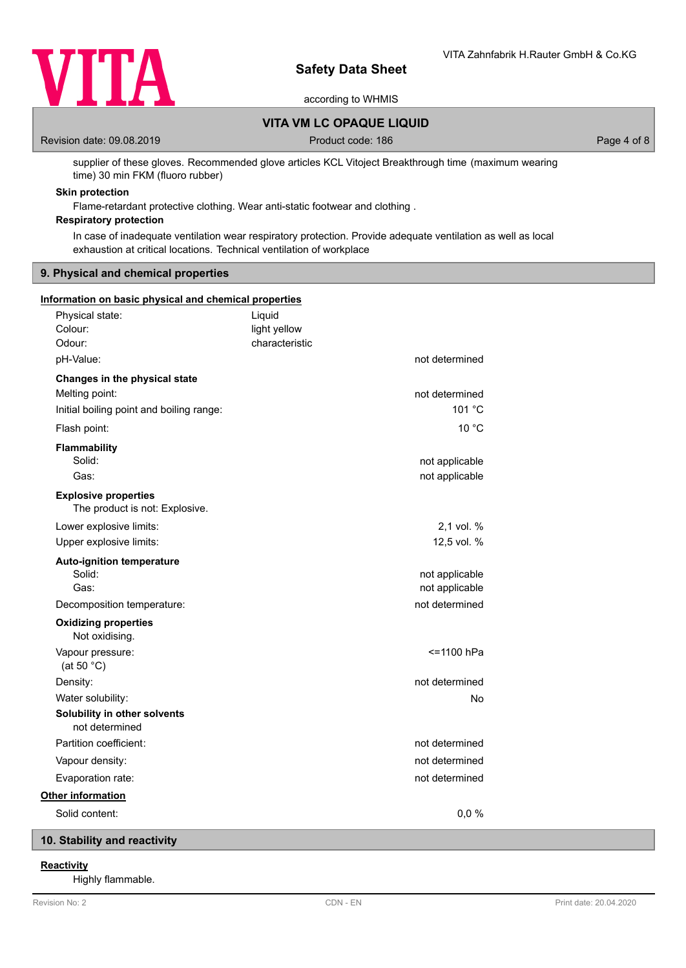

according to WHMIS

# **VITA VM LC OPAQUE LIQUID**

Revision date: 09.08.2019 **Product code: 186** Product code: 186 Page 4 of 8

supplier of these gloves. Recommended glove articles KCL Vitoject Breakthrough time (maximum wearing time) 30 min FKM (fluoro rubber)

# **Skin protection**

Flame-retardant protective clothing. Wear anti-static footwear and clothing .

# **Respiratory protection**

In case of inadequate ventilation wear respiratory protection. Provide adequate ventilation as well as local exhaustion at critical locations. Technical ventilation of workplace

## **9. Physical and chemical properties**

| Information on basic physical and chemical properties                                       |                                          |                                  |
|---------------------------------------------------------------------------------------------|------------------------------------------|----------------------------------|
| Physical state:<br>Colour:<br>Odour:                                                        | Liquid<br>light yellow<br>characteristic |                                  |
| pH-Value:                                                                                   |                                          | not determined                   |
| Changes in the physical state<br>Melting point:<br>Initial boiling point and boiling range: |                                          | not determined<br>101 °C         |
| Flash point:                                                                                |                                          | 10 $^{\circ}$ C                  |
| Flammability<br>Solid:<br>Gas:                                                              |                                          | not applicable<br>not applicable |
| <b>Explosive properties</b><br>The product is not: Explosive.                               |                                          |                                  |
| Lower explosive limits:<br>Upper explosive limits:                                          |                                          | 2,1 vol. %<br>12,5 vol. %        |
| <b>Auto-ignition temperature</b><br>Solid:<br>Gas:                                          |                                          | not applicable<br>not applicable |
| Decomposition temperature:                                                                  |                                          | not determined                   |
| <b>Oxidizing properties</b><br>Not oxidising.                                               |                                          |                                  |
| Vapour pressure:<br>(at 50 $°C$ )                                                           |                                          | <=1100 hPa                       |
| Density:                                                                                    |                                          | not determined                   |
| Water solubility:<br>Solubility in other solvents<br>not determined                         |                                          | No                               |
| Partition coefficient:                                                                      |                                          | not determined                   |
| Vapour density:                                                                             |                                          | not determined                   |
| Evaporation rate:                                                                           |                                          | not determined                   |
| Other information                                                                           |                                          |                                  |
| Solid content:                                                                              |                                          | 0,0%                             |

# **10. Stability and reactivity**

# **Reactivity**

Highly flammable.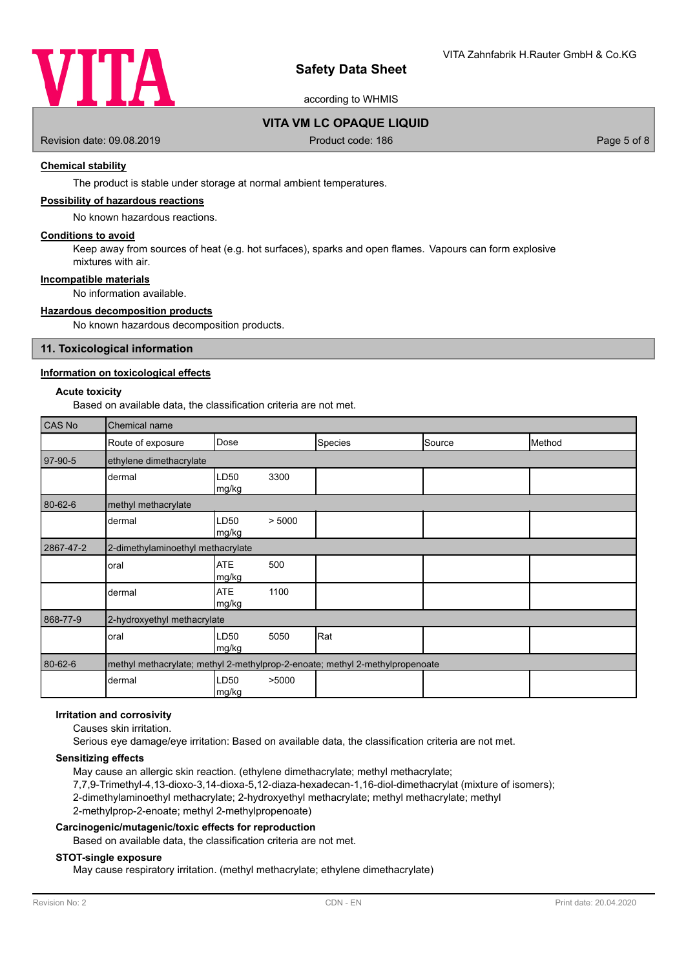

according to WHMIS

# **VITA VM LC OPAQUE LIQUID**

Revision date: 09.08.2019 **Product code: 186** Product code: 186 Page 5 of 8

# **Chemical stability**

The product is stable under storage at normal ambient temperatures.

### **Possibility of hazardous reactions**

No known hazardous reactions.

### **Conditions to avoid**

Keep away from sources of heat (e.g. hot surfaces), sparks and open flames. Vapours can form explosive mixtures with air.

# **Incompatible materials**

No information available.

### **Hazardous decomposition products**

No known hazardous decomposition products.

### **11. Toxicological information**

### **Information on toxicological effects**

### **Acute toxicity**

Based on available data, the classification criteria are not met.

| CAS No    | Chemical name                     |                                                                              |  |                |        |        |
|-----------|-----------------------------------|------------------------------------------------------------------------------|--|----------------|--------|--------|
|           | Route of exposure                 | Dose                                                                         |  | <b>Species</b> | Source | Method |
| 97-90-5   | ethylene dimethacrylate           |                                                                              |  |                |        |        |
|           | dermal                            | LD50<br>3300<br>mg/kg                                                        |  |                |        |        |
| 80-62-6   | methyl methacrylate               |                                                                              |  |                |        |        |
|           | dermal                            | LD50<br>> 5000<br>mg/kg                                                      |  |                |        |        |
| 2867-47-2 | 2-dimethylaminoethyl methacrylate |                                                                              |  |                |        |        |
|           | oral                              | <b>ATE</b><br>500<br>mg/kg                                                   |  |                |        |        |
|           | dermal                            | <b>ATE</b><br>1100<br>mg/kg                                                  |  |                |        |        |
| 868-77-9  | 2-hydroxyethyl methacrylate       |                                                                              |  |                |        |        |
|           | oral                              | LD50<br>5050<br>mg/kg                                                        |  | Rat            |        |        |
| 80-62-6   |                                   | methyl methacrylate; methyl 2-methylprop-2-enoate; methyl 2-methylpropenoate |  |                |        |        |
|           | dermal                            | LD50<br>>5000<br>mg/kg                                                       |  |                |        |        |

# **Irritation and corrosivity**

Causes skin irritation.

Serious eye damage/eye irritation: Based on available data, the classification criteria are not met.

### **Sensitizing effects**

May cause an allergic skin reaction. (ethylene dimethacrylate; methyl methacrylate; 7,7,9-Trimethyl-4,13-dioxo-3,14-dioxa-5,12-diaza-hexadecan-1,16-diol-dimethacrylat (mixture of isomers); 2-dimethylaminoethyl methacrylate; 2-hydroxyethyl methacrylate; methyl methacrylate; methyl 2-methylprop-2-enoate; methyl 2-methylpropenoate)

### **Carcinogenic/mutagenic/toxic effects for reproduction**

Based on available data, the classification criteria are not met.

### **STOT-single exposure**

May cause respiratory irritation. (methyl methacrylate; ethylene dimethacrylate)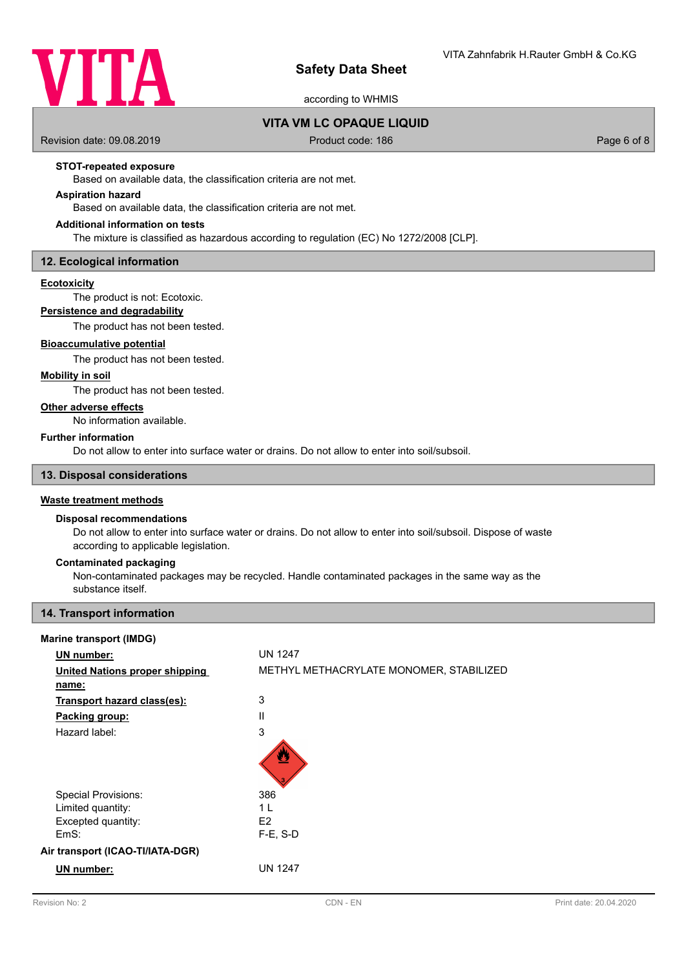

according to WHMIS

# **VITA VM LC OPAQUE LIQUID**

Revision date: 09.08.2019 **Product code: 186** Product code: 186 Page 6 of 8

## **STOT-repeated exposure**

Based on available data, the classification criteria are not met.

# **Aspiration hazard**

Based on available data, the classification criteria are not met.

## **Additional information on tests**

The mixture is classified as hazardous according to regulation (EC) No 1272/2008 [CLP].

### **12. Ecological information**

### **Ecotoxicity**

The product is not: Ecotoxic.

# **Persistence and degradability**

The product has not been tested.

## **Bioaccumulative potential**

The product has not been tested.

### **Mobility in soil**

The product has not been tested.

## **Other adverse effects**

No information available.

### **Further information**

Do not allow to enter into surface water or drains. Do not allow to enter into soil/subsoil.

### **13. Disposal considerations**

### **Waste treatment methods**

### **Disposal recommendations**

Do not allow to enter into surface water or drains. Do not allow to enter into soil/subsoil. Dispose of waste according to applicable legislation.

### **Contaminated packaging**

Non-contaminated packages may be recycled. Handle contaminated packages in the same way as the substance itself.

# **14. Transport information**

### **Marine transport (IMDG)**

| <b>UN</b> number:                     | <b>UN 1247</b>                          |
|---------------------------------------|-----------------------------------------|
| <b>United Nations proper shipping</b> | METHYL METHACRYLATE MONOMER, STABILIZED |
| name:                                 |                                         |
| Transport hazard class(es):           | 3                                       |
| Packing group:                        | Ш                                       |
| Hazard label:                         | 3                                       |
|                                       | Ø                                       |
| <b>Special Provisions:</b>            | 386                                     |
| Limited quantity:                     | 1 <sub>L</sub>                          |
| Excepted quantity:                    | E <sub>2</sub>                          |
| EmS:                                  | $F-E$ , S-D                             |
| Air transport (ICAO-TI/IATA-DGR)      |                                         |
| <b>UN</b> number:                     | <b>UN 1247</b>                          |
|                                       |                                         |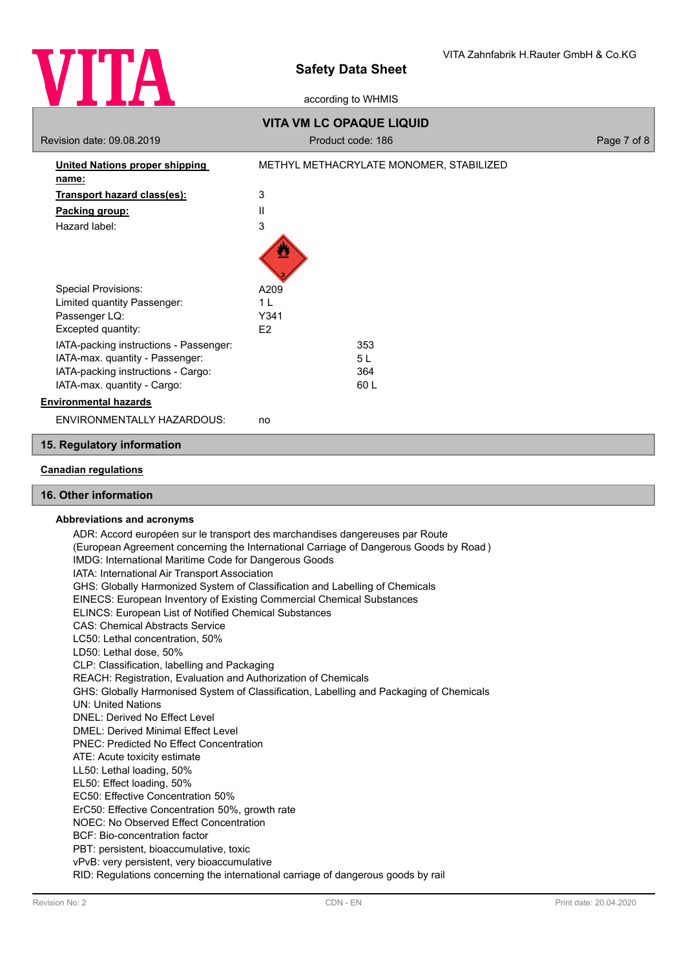

according to WHMIS

|                                        | <b>VITA VM LC OPAQUE LIQUID</b>         |             |
|----------------------------------------|-----------------------------------------|-------------|
| Revision date: 09.08.2019              | Product code: 186                       | Page 7 of 8 |
| <b>United Nations proper shipping</b>  | METHYL METHACRYLATE MONOMER, STABILIZED |             |
| name:                                  |                                         |             |
| Transport hazard class(es):            | 3                                       |             |
| Packing group:                         | Ш                                       |             |
| Hazard label:                          | 3                                       |             |
|                                        |                                         |             |
| <b>Special Provisions:</b>             | A209                                    |             |
| Limited quantity Passenger:            | 1 <sub>L</sub>                          |             |
| Passenger LQ:                          | Y341                                    |             |
| Excepted quantity:                     | E <sub>2</sub>                          |             |
| IATA-packing instructions - Passenger: | 353                                     |             |
| IATA-max. quantity - Passenger:        | 5L                                      |             |
| IATA-packing instructions - Cargo:     | 364                                     |             |
| IATA-max. quantity - Cargo:            | 60 L                                    |             |
| <b>Environmental hazards</b>           |                                         |             |
| ENVIRONMENTALLY HAZARDOUS:             | no                                      |             |

## **15. Regulatory information**

## **Canadian regulations**

## **16. Other information**

### **Abbreviations and acronyms**

ADR: Accord européen sur le transport des marchandises dangereuses par Route (European Agreement concerning the International Carriage of Dangerous Goods by Road ) IMDG: International Maritime Code for Dangerous Goods IATA: International Air Transport Association GHS: Globally Harmonized System of Classification and Labelling of Chemicals EINECS: European Inventory of Existing Commercial Chemical Substances ELINCS: European List of Notified Chemical Substances CAS: Chemical Abstracts Service LC50: Lethal concentration, 50% LD50: Lethal dose, 50% CLP: Classification, labelling and Packaging REACH: Registration, Evaluation and Authorization of Chemicals GHS: Globally Harmonised System of Classification, Labelling and Packaging of Chemicals UN: United Nations DNEL: Derived No Effect Level DMEL: Derived Minimal Effect Level PNEC: Predicted No Effect Concentration ATE: Acute toxicity estimate LL50: Lethal loading, 50% EL50: Effect loading, 50% EC50: Effective Concentration 50% ErC50: Effective Concentration 50%, growth rate NOEC: No Observed Effect Concentration BCF: Bio-concentration factor PBT: persistent, bioaccumulative, toxic vPvB: very persistent, very bioaccumulative RID: Regulations concerning the international carriage of dangerous goods by rail